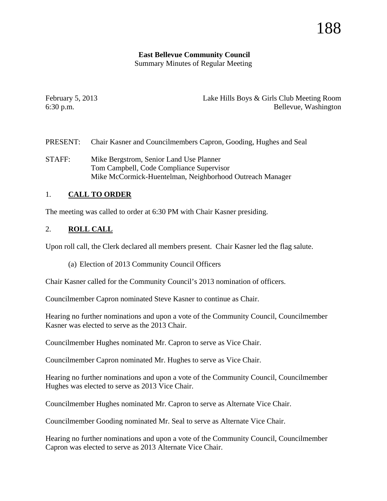#### **East Bellevue Community Council**

Summary Minutes of Regular Meeting

February 5, 2013 Lake Hills Boys & Girls Club Meeting Room 6:30 p.m. Bellevue, Washington

- PRESENT: Chair Kasner and Councilmembers Capron, Gooding, Hughes and Seal
- STAFF: Mike Bergstrom, Senior Land Use Planner Tom Campbell, Code Compliance Supervisor Mike McCormick-Huentelman, Neighborhood Outreach Manager

### 1. **CALL TO ORDER**

The meeting was called to order at 6:30 PM with Chair Kasner presiding.

#### 2. **ROLL CALL**

Upon roll call, the Clerk declared all members present. Chair Kasner led the flag salute.

(a) Election of 2013 Community Council Officers

Chair Kasner called for the Community Council's 2013 nomination of officers.

Councilmember Capron nominated Steve Kasner to continue as Chair.

Hearing no further nominations and upon a vote of the Community Council, Councilmember Kasner was elected to serve as the 2013 Chair.

Councilmember Hughes nominated Mr. Capron to serve as Vice Chair.

Councilmember Capron nominated Mr. Hughes to serve as Vice Chair.

Hearing no further nominations and upon a vote of the Community Council, Councilmember Hughes was elected to serve as 2013 Vice Chair.

Councilmember Hughes nominated Mr. Capron to serve as Alternate Vice Chair.

Councilmember Gooding nominated Mr. Seal to serve as Alternate Vice Chair.

Hearing no further nominations and upon a vote of the Community Council, Councilmember Capron was elected to serve as 2013 Alternate Vice Chair.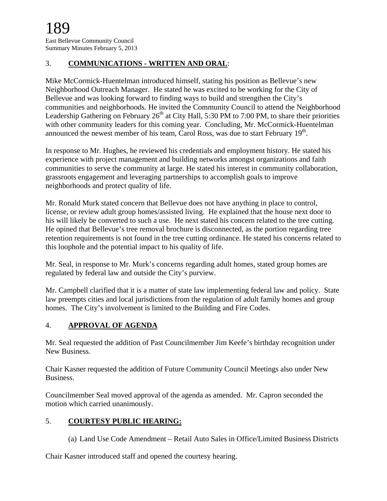### 3. **COMMUNICATIONS - WRITTEN AND ORAL**:

Mike McCormick-Huentelman introduced himself, stating his position as Bellevue's new Neighborhood Outreach Manager. He stated he was excited to be working for the City of Bellevue and was looking forward to finding ways to build and strengthen the City's communities and neighborhoods. He invited the Community Council to attend the Neighborhood Leadership Gathering on February  $26<sup>th</sup>$  at City Hall, 5:30 PM to 7:00 PM, to share their priorities with other community leaders for this coming year. Concluding, Mr. McCormick-Huentelman announced the newest member of his team, Carol Ross, was due to start February  $19<sup>th</sup>$ .

In response to Mr. Hughes, he reviewed his credentials and employment history. He stated his experience with project management and building networks amongst organizations and faith communities to serve the community at large. He stated his interest in community collaboration, grassroots engagement and leveraging partnerships to accomplish goals to improve neighborhoods and protect quality of life.

Mr. Ronald Murk stated concern that Bellevue does not have anything in place to control, license, or review adult group homes/assisted living. He explained that the house next door to his will likely be converted to such a use. He next stated his concern related to the tree cutting. He opined that Bellevue's tree removal brochure is disconnected, as the portion regarding tree retention requirements is not found in the tree cutting ordinance. He stated his concerns related to this loophole and the potential impact to his quality of life.

Mr. Seal, in response to Mr. Murk's concerns regarding adult homes, stated group homes are regulated by federal law and outside the City's purview.

Mr. Campbell clarified that it is a matter of state law implementing federal law and policy. State law preempts cities and local jurisdictions from the regulation of adult family homes and group homes. The City's involvement is limited to the Building and Fire Codes.

# 4. **APPROVAL OF AGENDA**

Mr. Seal requested the addition of Past Councilmember Jim Keefe's birthday recognition under New Business.

Chair Kasner requested the addition of Future Community Council Meetings also under New Business.

Councilmember Seal moved approval of the agenda as amended. Mr. Capron seconded the motion which carried unanimously.

# 5. **COURTESY PUBLIC HEARING:**

(a) Land Use Code Amendment – Retail Auto Sales in Office/Limited Business Districts

Chair Kasner introduced staff and opened the courtesy hearing.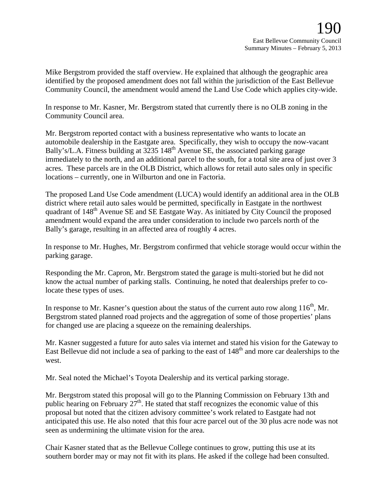Mike Bergstrom provided the staff overview. He explained that although the geographic area identified by the proposed amendment does not fall within the jurisdiction of the East Bellevue Community Council, the amendment would amend the Land Use Code which applies city-wide.

In response to Mr. Kasner, Mr. Bergstrom stated that currently there is no OLB zoning in the Community Council area.

Mr. Bergstrom reported contact with a business representative who wants to locate an automobile dealership in the Eastgate area. Specifically, they wish to occupy the now-vacant Bally's/L.A. Fitness building at 3235 148<sup>th</sup> Avenue SE, the associated parking garage immediately to the north, and an additional parcel to the south, for a total site area of just over 3 acres. These parcels are in the OLB District, which allows for retail auto sales only in specific locations – currently, one in Wilburton and one in Factoria.

The proposed Land Use Code amendment (LUCA) would identify an additional area in the OLB district where retail auto sales would be permitted, specifically in Eastgate in the northwest quadrant of 148<sup>th</sup> Avenue SE and SE Eastgate Way. As initiated by City Council the proposed amendment would expand the area under consideration to include two parcels north of the Bally's garage, resulting in an affected area of roughly 4 acres.

In response to Mr. Hughes, Mr. Bergstrom confirmed that vehicle storage would occur within the parking garage.

Responding the Mr. Capron, Mr. Bergstrom stated the garage is multi-storied but he did not know the actual number of parking stalls. Continuing, he noted that dealerships prefer to colocate these types of uses.

In response to Mr. Kasner's question about the status of the current auto row along  $116<sup>th</sup>$ , Mr. Bergstrom stated planned road projects and the aggregation of some of those properties' plans for changed use are placing a squeeze on the remaining dealerships.

Mr. Kasner suggested a future for auto sales via internet and stated his vision for the Gateway to East Bellevue did not include a sea of parking to the east of 148<sup>th</sup> and more car dealerships to the west.

Mr. Seal noted the Michael's Toyota Dealership and its vertical parking storage.

Mr. Bergstrom stated this proposal will go to the Planning Commission on February 13th and public hearing on February  $27<sup>th</sup>$ . He stated that staff recognizes the economic value of this proposal but noted that the citizen advisory committee's work related to Eastgate had not anticipated this use. He also noted that this four acre parcel out of the 30 plus acre node was not seen as undermining the ultimate vision for the area.

Chair Kasner stated that as the Bellevue College continues to grow, putting this use at its southern border may or may not fit with its plans. He asked if the college had been consulted.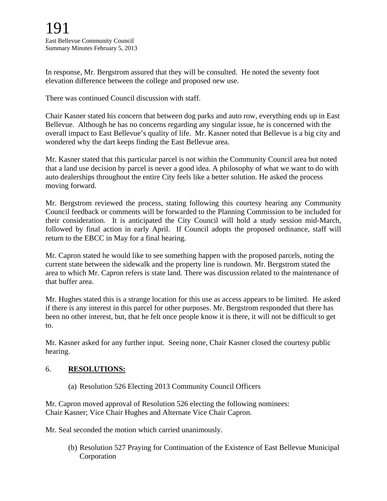In response, Mr. Bergstrom assured that they will be consulted. He noted the seventy foot elevation difference between the college and proposed new use.

There was continued Council discussion with staff.

Chair Kasner stated his concern that between dog parks and auto row, everything ends up in East Bellevue. Although he has no concerns regarding any singular issue, he is concerned with the overall impact to East Bellevue's quality of life. Mr. Kasner noted that Bellevue is a big city and wondered why the dart keeps finding the East Bellevue area.

Mr. Kasner stated that this particular parcel is not within the Community Council area but noted that a land use decision by parcel is never a good idea. A philosophy of what we want to do with auto dealerships throughout the entire City feels like a better solution. He asked the process moving forward.

Mr. Bergstrom reviewed the process, stating following this courtesy hearing any Community Council feedback or comments will be forwarded to the Planning Commission to be included for their consideration. It is anticipated the City Council will hold a study session mid-March, followed by final action in early April. If Council adopts the proposed ordinance, staff will return to the EBCC in May for a final hearing.

Mr. Capron stated he would like to see something happen with the proposed parcels, noting the current state between the sidewalk and the property line is rundown. Mr. Bergstrom stated the area to which Mr. Capron refers is state land. There was discussion related to the maintenance of that buffer area.

Mr. Hughes stated this is a strange location for this use as access appears to be limited. He asked if there is any interest in this parcel for other purposes. Mr. Bergstrom responded that there has been no other interest, but, that he felt once people know it is there, it will not be difficult to get to.

Mr. Kasner asked for any further input. Seeing none, Chair Kasner closed the courtesy public hearing.

#### 6. **RESOLUTIONS:**

(a) Resolution 526 Electing 2013 Community Council Officers

Mr. Capron moved approval of Resolution 526 electing the following nominees: Chair Kasner; Vice Chair Hughes and Alternate Vice Chair Capron.

Mr. Seal seconded the motion which carried unanimously.

(b) Resolution 527 Praying for Continuation of the Existence of East Bellevue Municipal Corporation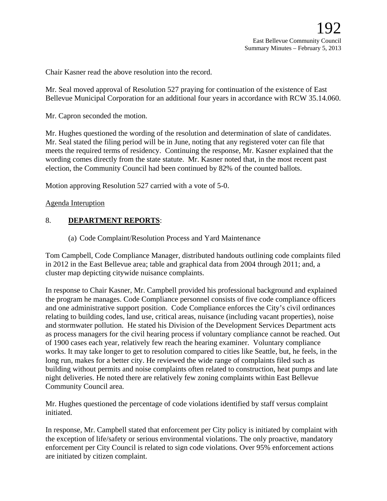Chair Kasner read the above resolution into the record.

Mr. Seal moved approval of Resolution 527 praying for continuation of the existence of East Bellevue Municipal Corporation for an additional four years in accordance with RCW 35.14.060.

Mr. Capron seconded the motion.

Mr. Hughes questioned the wording of the resolution and determination of slate of candidates. Mr. Seal stated the filing period will be in June, noting that any registered voter can file that meets the required terms of residency. Continuing the response, Mr. Kasner explained that the wording comes directly from the state statute. Mr. Kasner noted that, in the most recent past election, the Community Council had been continued by 82% of the counted ballots.

Motion approving Resolution 527 carried with a vote of 5-0.

Agenda Interuption

#### 8. **DEPARTMENT REPORTS**:

(a) Code Complaint/Resolution Process and Yard Maintenance

Tom Campbell, Code Compliance Manager, distributed handouts outlining code complaints filed in 2012 in the East Bellevue area; table and graphical data from 2004 through 2011; and, a cluster map depicting citywide nuisance complaints.

In response to Chair Kasner, Mr. Campbell provided his professional background and explained the program he manages. Code Compliance personnel consists of five code compliance officers and one administrative support position. Code Compliance enforces the City's civil ordinances relating to building codes, land use, critical areas, nuisance (including vacant properties), noise and stormwater pollution. He stated his Division of the Development Services Department acts as process managers for the civil hearing process if voluntary compliance cannot be reached. Out of 1900 cases each year, relatively few reach the hearing examiner. Voluntary compliance works. It may take longer to get to resolution compared to cities like Seattle, but, he feels, in the long run, makes for a better city. He reviewed the wide range of complaints filed such as building without permits and noise complaints often related to construction, heat pumps and late night deliveries. He noted there are relatively few zoning complaints within East Bellevue Community Council area.

Mr. Hughes questioned the percentage of code violations identified by staff versus complaint initiated.

In response, Mr. Campbell stated that enforcement per City policy is initiated by complaint with the exception of life/safety or serious environmental violations. The only proactive, mandatory enforcement per City Council is related to sign code violations. Over 95% enforcement actions are initiated by citizen complaint.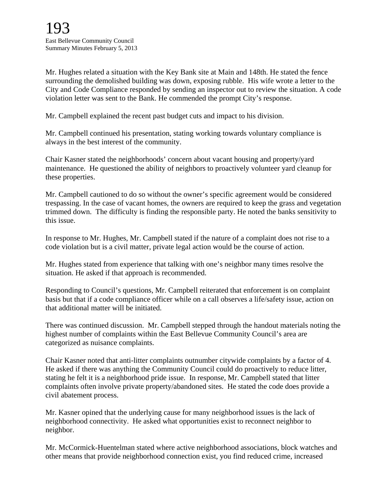Mr. Hughes related a situation with the Key Bank site at Main and 148th. He stated the fence surrounding the demolished building was down, exposing rubble. His wife wrote a letter to the City and Code Compliance responded by sending an inspector out to review the situation. A code violation letter was sent to the Bank. He commended the prompt City's response.

Mr. Campbell explained the recent past budget cuts and impact to his division.

Mr. Campbell continued his presentation, stating working towards voluntary compliance is always in the best interest of the community.

Chair Kasner stated the neighborhoods' concern about vacant housing and property/yard maintenance. He questioned the ability of neighbors to proactively volunteer yard cleanup for these properties.

Mr. Campbell cautioned to do so without the owner's specific agreement would be considered trespassing. In the case of vacant homes, the owners are required to keep the grass and vegetation trimmed down. The difficulty is finding the responsible party. He noted the banks sensitivity to this issue.

In response to Mr. Hughes, Mr. Campbell stated if the nature of a complaint does not rise to a code violation but is a civil matter, private legal action would be the course of action.

Mr. Hughes stated from experience that talking with one's neighbor many times resolve the situation. He asked if that approach is recommended.

Responding to Council's questions, Mr. Campbell reiterated that enforcement is on complaint basis but that if a code compliance officer while on a call observes a life/safety issue, action on that additional matter will be initiated.

There was continued discussion. Mr. Campbell stepped through the handout materials noting the highest number of complaints within the East Bellevue Community Council's area are categorized as nuisance complaints.

Chair Kasner noted that anti-litter complaints outnumber citywide complaints by a factor of 4. He asked if there was anything the Community Council could do proactively to reduce litter, stating he felt it is a neighborhood pride issue. In response, Mr. Campbell stated that litter complaints often involve private property/abandoned sites. He stated the code does provide a civil abatement process.

Mr. Kasner opined that the underlying cause for many neighborhood issues is the lack of neighborhood connectivity. He asked what opportunities exist to reconnect neighbor to neighbor.

Mr. McCormick-Huentelman stated where active neighborhood associations, block watches and other means that provide neighborhood connection exist, you find reduced crime, increased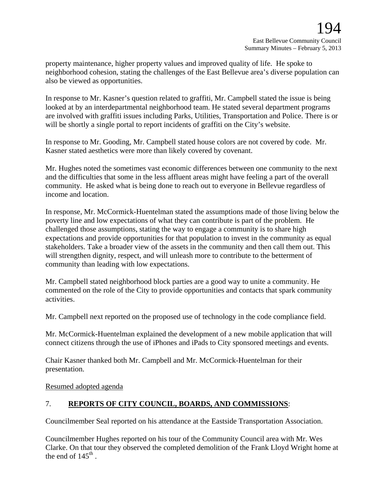property maintenance, higher property values and improved quality of life. He spoke to neighborhood cohesion, stating the challenges of the East Bellevue area's diverse population can also be viewed as opportunities.

In response to Mr. Kasner's question related to graffiti, Mr. Campbell stated the issue is being looked at by an interdepartmental neighborhood team. He stated several department programs are involved with graffiti issues including Parks, Utilities, Transportation and Police. There is or will be shortly a single portal to report incidents of graffiti on the City's website.

In response to Mr. Gooding, Mr. Campbell stated house colors are not covered by code. Mr. Kasner stated aesthetics were more than likely covered by covenant.

Mr. Hughes noted the sometimes vast economic differences between one community to the next and the difficulties that some in the less affluent areas might have feeling a part of the overall community. He asked what is being done to reach out to everyone in Bellevue regardless of income and location.

In response, Mr. McCormick-Huentelman stated the assumptions made of those living below the poverty line and low expectations of what they can contribute is part of the problem. He challenged those assumptions, stating the way to engage a community is to share high expectations and provide opportunities for that population to invest in the community as equal stakeholders. Take a broader view of the assets in the community and then call them out. This will strengthen dignity, respect, and will unleash more to contribute to the betterment of community than leading with low expectations.

Mr. Campbell stated neighborhood block parties are a good way to unite a community. He commented on the role of the City to provide opportunities and contacts that spark community activities.

Mr. Campbell next reported on the proposed use of technology in the code compliance field.

Mr. McCormick-Huentelman explained the development of a new mobile application that will connect citizens through the use of iPhones and iPads to City sponsored meetings and events.

Chair Kasner thanked both Mr. Campbell and Mr. McCormick-Huentelman for their presentation.

Resumed adopted agenda

#### 7. **REPORTS OF CITY COUNCIL, BOARDS, AND COMMISSIONS**:

Councilmember Seal reported on his attendance at the Eastside Transportation Association.

Councilmember Hughes reported on his tour of the Community Council area with Mr. Wes Clarke. On that tour they observed the completed demolition of the Frank Lloyd Wright home at the end of  $145^{\text{th}}$ .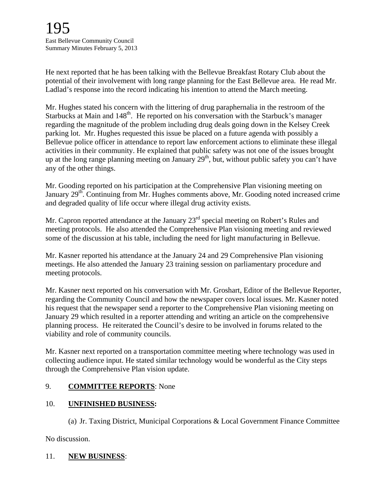He next reported that he has been talking with the Bellevue Breakfast Rotary Club about the potential of their involvement with long range planning for the East Bellevue area. He read Mr. Ladlad's response into the record indicating his intention to attend the March meeting.

Mr. Hughes stated his concern with the littering of drug paraphernalia in the restroom of the Starbucks at Main and  $148<sup>th</sup>$ . He reported on his conversation with the Starbuck's manager regarding the magnitude of the problem including drug deals going down in the Kelsey Creek parking lot. Mr. Hughes requested this issue be placed on a future agenda with possibly a Bellevue police officer in attendance to report law enforcement actions to eliminate these illegal activities in their community. He explained that public safety was not one of the issues brought up at the long range planning meeting on January  $29<sup>th</sup>$ , but, without public safety you can't have any of the other things.

Mr. Gooding reported on his participation at the Comprehensive Plan visioning meeting on January 29<sup>th</sup>. Continuing from Mr. Hughes comments above, Mr. Gooding noted increased crime and degraded quality of life occur where illegal drug activity exists.

Mr. Capron reported attendance at the January 23<sup>rd</sup> special meeting on Robert's Rules and meeting protocols. He also attended the Comprehensive Plan visioning meeting and reviewed some of the discussion at his table, including the need for light manufacturing in Bellevue.

Mr. Kasner reported his attendance at the January 24 and 29 Comprehensive Plan visioning meetings. He also attended the January 23 training session on parliamentary procedure and meeting protocols.

Mr. Kasner next reported on his conversation with Mr. Groshart, Editor of the Bellevue Reporter, regarding the Community Council and how the newspaper covers local issues. Mr. Kasner noted his request that the newspaper send a reporter to the Comprehensive Plan visioning meeting on January 29 which resulted in a reporter attending and writing an article on the comprehensive planning process. He reiterated the Council's desire to be involved in forums related to the viability and role of community councils.

Mr. Kasner next reported on a transportation committee meeting where technology was used in collecting audience input. He stated similar technology would be wonderful as the City steps through the Comprehensive Plan vision update.

# 9. **COMMITTEE REPORTS**: None

# 10. **UNFINISHED BUSINESS:**

(a) Jr. Taxing District, Municipal Corporations & Local Government Finance Committee

No discussion.

#### 11. **NEW BUSINESS**: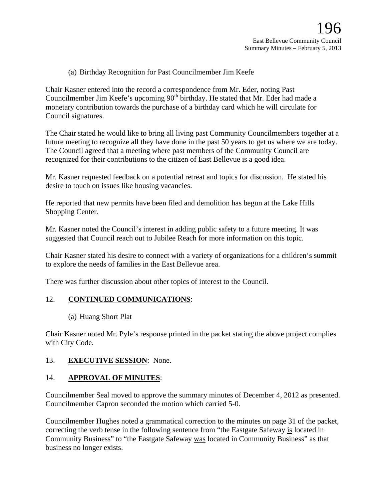(a) Birthday Recognition for Past Councilmember Jim Keefe

Chair Kasner entered into the record a correspondence from Mr. Eder, noting Past Councilmember Jim Keefe's upcoming 90<sup>th</sup> birthday. He stated that Mr. Eder had made a monetary contribution towards the purchase of a birthday card which he will circulate for Council signatures.

The Chair stated he would like to bring all living past Community Councilmembers together at a future meeting to recognize all they have done in the past 50 years to get us where we are today. The Council agreed that a meeting where past members of the Community Council are recognized for their contributions to the citizen of East Bellevue is a good idea.

Mr. Kasner requested feedback on a potential retreat and topics for discussion. He stated his desire to touch on issues like housing vacancies.

He reported that new permits have been filed and demolition has begun at the Lake Hills Shopping Center.

Mr. Kasner noted the Council's interest in adding public safety to a future meeting. It was suggested that Council reach out to Jubilee Reach for more information on this topic.

Chair Kasner stated his desire to connect with a variety of organizations for a children's summit to explore the needs of families in the East Bellevue area.

There was further discussion about other topics of interest to the Council.

#### 12. **CONTINUED COMMUNICATIONS**:

(a) Huang Short Plat

Chair Kasner noted Mr. Pyle's response printed in the packet stating the above project complies with City Code.

#### 13. **EXECUTIVE SESSION**: None.

#### 14. **APPROVAL OF MINUTES**:

Councilmember Seal moved to approve the summary minutes of December 4, 2012 as presented. Councilmember Capron seconded the motion which carried 5-0.

Councilmember Hughes noted a grammatical correction to the minutes on page 31 of the packet, correcting the verb tense in the following sentence from "the Eastgate Safeway is located in Community Business" to "the Eastgate Safeway was located in Community Business" as that business no longer exists.